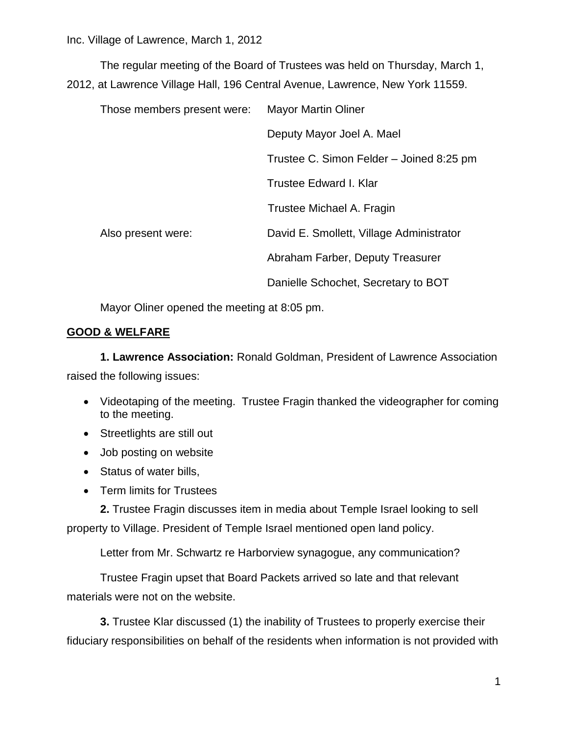The regular meeting of the Board of Trustees was held on Thursday, March 1, 2012, at Lawrence Village Hall, 196 Central Avenue, Lawrence, New York 11559.

| Those members present were: | <b>Mayor Martin Oliner</b>               |
|-----------------------------|------------------------------------------|
|                             | Deputy Mayor Joel A. Mael                |
|                             | Trustee C. Simon Felder - Joined 8:25 pm |
|                             | Trustee Edward I. Klar                   |
|                             | Trustee Michael A. Fragin                |
| Also present were:          | David E. Smollett, Village Administrator |
|                             | Abraham Farber, Deputy Treasurer         |
|                             | Danielle Schochet, Secretary to BOT      |

Mayor Oliner opened the meeting at 8:05 pm.

# **GOOD & WELFARE**

**1. Lawrence Association:** Ronald Goldman, President of Lawrence Association raised the following issues:

- Videotaping of the meeting. Trustee Fragin thanked the videographer for coming to the meeting.
- Streetlights are still out
- Job posting on website
- Status of water bills,
- Term limits for Trustees

**2.** Trustee Fragin discusses item in media about Temple Israel looking to sell property to Village. President of Temple Israel mentioned open land policy.

Letter from Mr. Schwartz re Harborview synagogue, any communication?

Trustee Fragin upset that Board Packets arrived so late and that relevant materials were not on the website.

**3.** Trustee Klar discussed (1) the inability of Trustees to properly exercise their fiduciary responsibilities on behalf of the residents when information is not provided with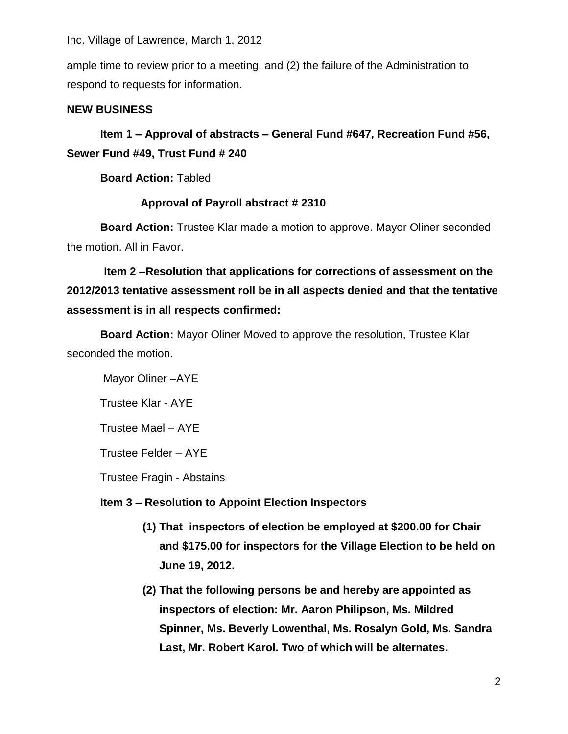Inc. Village of Lawrence, March 1, 2012

ample time to review prior to a meeting, and (2) the failure of the Administration to respond to requests for information.

### **NEW BUSINESS**

**Item 1 – Approval of abstracts – General Fund #647, Recreation Fund #56, Sewer Fund #49, Trust Fund # 240** 

**Board Action:** Tabled

### **Approval of Payroll abstract # 2310**

**Board Action:** Trustee Klar made a motion to approve. Mayor Oliner seconded the motion. All in Favor.

 **Item 2 –Resolution that applications for corrections of assessment on the 2012/2013 tentative assessment roll be in all aspects denied and that the tentative assessment is in all respects confirmed:**

**Board Action:** Mayor Oliner Moved to approve the resolution, Trustee Klar seconded the motion.

Mayor Oliner –AYE

Trustee Klar - AYE

Trustee Mael – AYE

Trustee Felder – AYE

Trustee Fragin - Abstains

#### **Item 3 – Resolution to Appoint Election Inspectors**

- **(1) That inspectors of election be employed at \$200.00 for Chair and \$175.00 for inspectors for the Village Election to be held on June 19, 2012.**
- **(2) That the following persons be and hereby are appointed as inspectors of election: Mr. Aaron Philipson, Ms. Mildred Spinner, Ms. Beverly Lowenthal, Ms. Rosalyn Gold, Ms. Sandra Last, Mr. Robert Karol. Two of which will be alternates.**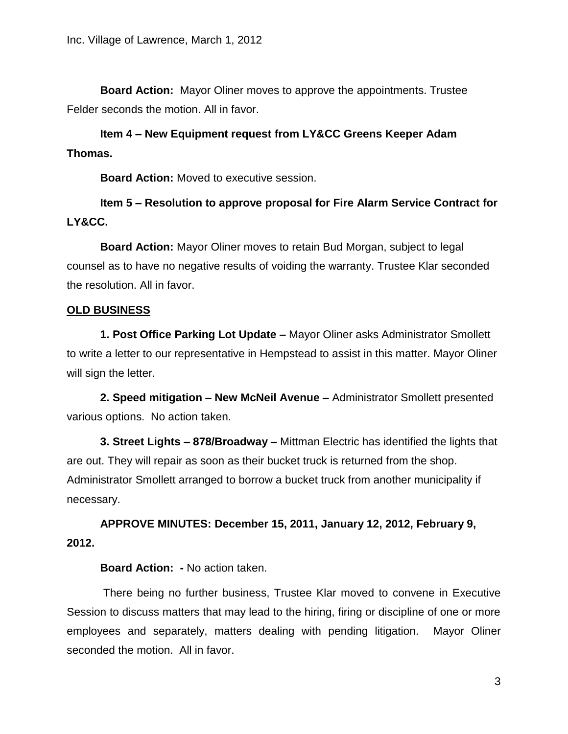**Board Action:** Mayor Oliner moves to approve the appointments. Trustee Felder seconds the motion. All in favor.

**Item 4 – New Equipment request from LY&CC Greens Keeper Adam Thomas.**

**Board Action:** Moved to executive session.

**Item 5 – Resolution to approve proposal for Fire Alarm Service Contract for LY&CC.**

**Board Action:** Mayor Oliner moves to retain Bud Morgan, subject to legal counsel as to have no negative results of voiding the warranty. Trustee Klar seconded the resolution. All in favor.

# **OLD BUSINESS**

**1. Post Office Parking Lot Update –** Mayor Oliner asks Administrator Smollett to write a letter to our representative in Hempstead to assist in this matter. Mayor Oliner will sign the letter.

**2. Speed mitigation – New McNeil Avenue –** Administrator Smollett presented various options. No action taken.

**3. Street Lights – 878/Broadway –** Mittman Electric has identified the lights that are out. They will repair as soon as their bucket truck is returned from the shop. Administrator Smollett arranged to borrow a bucket truck from another municipality if necessary.

**APPROVE MINUTES: December 15, 2011, January 12, 2012, February 9, 2012.**

#### **Board Action: -** No action taken.

There being no further business, Trustee Klar moved to convene in Executive Session to discuss matters that may lead to the hiring, firing or discipline of one or more employees and separately, matters dealing with pending litigation. Mayor Oliner seconded the motion. All in favor.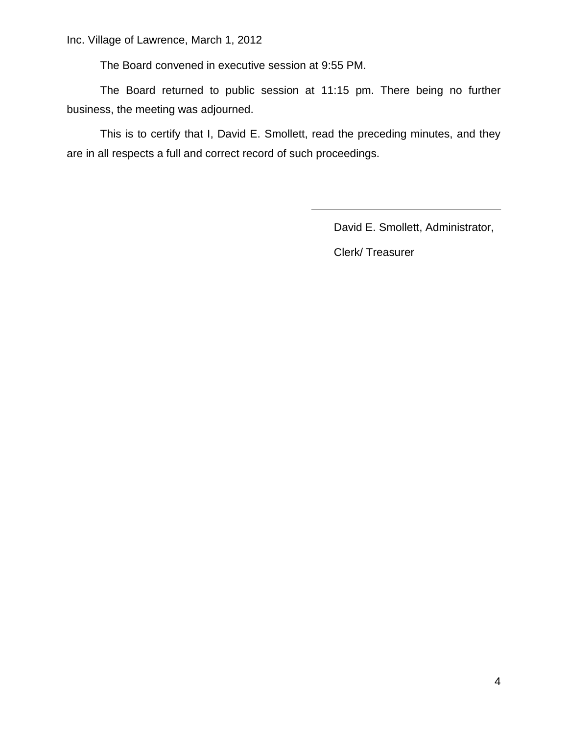The Board convened in executive session at 9:55 PM.

The Board returned to public session at 11:15 pm. There being no further business, the meeting was adjourned.

This is to certify that I, David E. Smollett, read the preceding minutes, and they are in all respects a full and correct record of such proceedings.

David E. Smollett, Administrator,

Clerk/ Treasurer